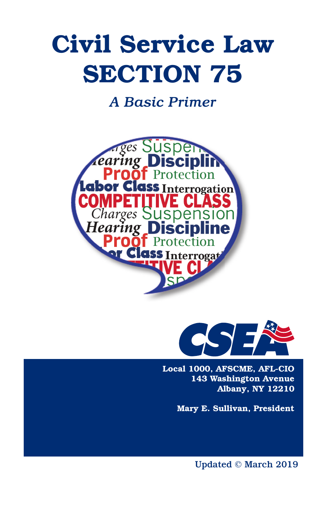# Civil Service Law SECTION 75

*A Basic Primer*





Local 1000, AFSCME, AFL-CIO 143 Washington Avenue Albany, NY 12210

Mary E. Sullivan, President

Updated © March 2019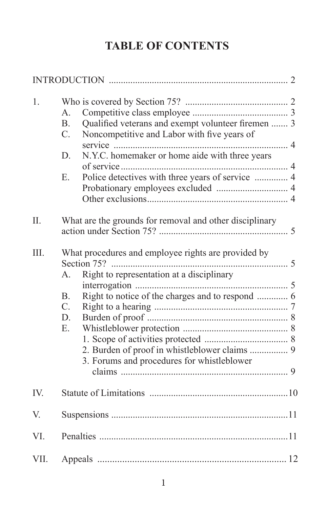# **TABLE OF CONTENTS**

| 1.   | $A_{\cdot}$<br>Qualified veterans and exempt volunteer firemen  3<br>B <sub>1</sub><br>$C_{\cdot}$<br>Noncompetitive and Labor with five years of<br>N.Y.C. homemaker or home aide with three years<br>D.<br>E.                                    |
|------|----------------------------------------------------------------------------------------------------------------------------------------------------------------------------------------------------------------------------------------------------|
| II.  | What are the grounds for removal and other disciplinary                                                                                                                                                                                            |
| III. | What procedures and employee rights are provided by<br>Right to representation at a disciplinary<br>А.<br><b>B.</b><br>$C_{\cdot}$<br>D.<br>$E_{1}$<br>2. Burden of proof in whistleblower claims  9<br>3. Forums and procedures for whistleblower |
| IV.  |                                                                                                                                                                                                                                                    |
| V.   |                                                                                                                                                                                                                                                    |
| VI.  |                                                                                                                                                                                                                                                    |
| VII. |                                                                                                                                                                                                                                                    |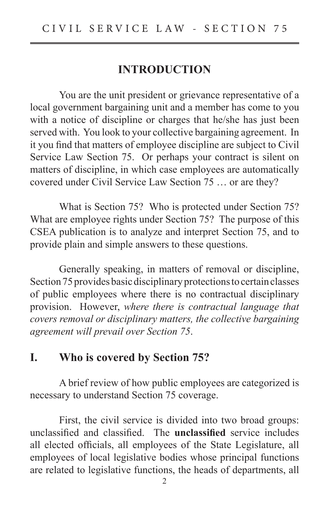#### **INTRODUCTION**

 You are the unit president or grievance representative of a local government bargaining unit and a member has come to you with a notice of discipline or charges that he/she has just been served with. You look to your collective bargaining agreement. In it you find that matters of employee discipline are subject to Civil Service Law Section 75. Or perhaps your contract is silent on matters of discipline, in which case employees are automatically covered under Civil Service Law Section 75 … or are they?

 What is Section 75? Who is protected under Section 75? What are employee rights under Section 75? The purpose of this CSEA publication is to analyze and interpret Section 75, and to provide plain and simple answers to these questions.

 Generally speaking, in matters of removal or discipline, Section 75 provides basic disciplinary protections to certain classes of public employees where there is no contractual disciplinary provision. However, *where there is contractual language that covers removal or disciplinary matters, the collective bargaining agreement will prevail over Section 75*.

#### **I. Who is covered by Section 75?**

 A brief review of how public employees are categorized is necessary to understand Section 75 coverage.

 First, the civil service is divided into two broad groups: unclassified and classified. The **unclassified** service includes all elected officials, all employees of the State Legislature, all employees of local legislative bodies whose principal functions are related to legislative functions, the heads of departments, all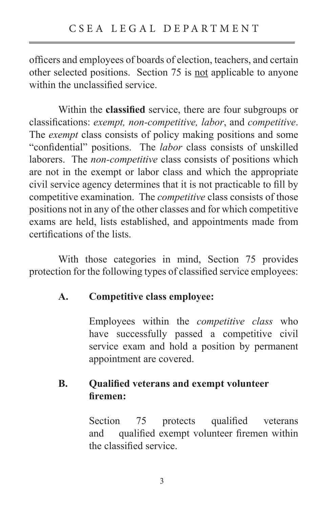officers and employees of boards of election, teachers, and certain other selected positions. Section 75 is not applicable to anyone within the unclassified service.

Within the **classified** service, there are four subgroups or classifications: *exempt, non-competitive, labor, and competitive*. The *exempt* class consists of policy making positions and some "confidential" positions. The *labor* class consists of unskilled laborers. The *non-competitive* class consists of positions which are not in the exempt or labor class and which the appropriate civil service agency determines that it is not practicable to fill by competitive examination. The *competitive* class consists of those positions not in any of the other classes and for which competitive exams are held, lists established, and appointments made from certifications of the lists.

 With those categories in mind, Section 75 provides protection for the following types of classified service employees:

#### **A. Competitive class employee:**

Employees within the *competitive class* who have successfully passed a competitive civil service exam and hold a position by permanent appointment are covered.

#### **B.** Qualified veterans and exempt volunteer  $$

Section 75 protects qualified veterans and qualified exempt volunteer firemen within the classified service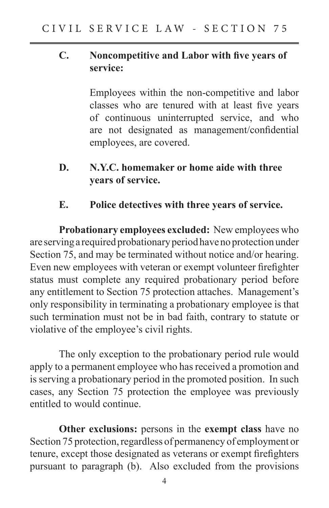#### **C.** Noncompetitive and Labor with five years of  **service:**

Employees within the non-competitive and labor classes who are tenured with at least five years of continuous uninterrupted service, and who are not designated as management/confidential employees, are covered.

- **D. N.Y.C. homemaker or home aide with three years of service.**
- **E. Police detectives with three years of service.**

**Probationary employees excluded:** New employees who are serving a required probationary period have no protection under Section 75, and may be terminated without notice and/or hearing. Even new employees with veteran or exempt volunteer firefighter status must complete any required probationary period before any entitlement to Section 75 protection attaches. Management's only responsibility in terminating a probationary employee is that such termination must not be in bad faith, contrary to statute or violative of the employee's civil rights.

 The only exception to the probationary period rule would apply to a permanent employee who has received a promotion and is serving a probationary period in the promoted position. In such cases, any Section 75 protection the employee was previously entitled to would continue.

**Other exclusions:** persons in the **exempt class** have no Section 75 protection, regardless of permanency of employment or tenure, except those designated as veterans or exempt firefighters pursuant to paragraph (b). Also excluded from the provisions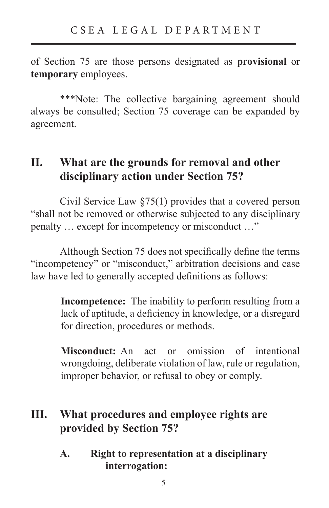of Section 75 are those persons designated as **provisional** or **temporary** employees.

 \*\*\*Note: The collective bargaining agreement should always be consulted; Section 75 coverage can be expanded by agreement.

#### **II. What are the grounds for removal and other disciplinary action under Section 75?**

 Civil Service Law §75(1) provides that a covered person "shall not be removed or otherwise subjected to any disciplinary penalty … except for incompetency or misconduct …"

Although Section 75 does not specifically define the terms "incompetency" or "misconduct," arbitration decisions and case law have led to generally accepted definitions as follows:

> **Incompetence:** The inability to perform resulting from a lack of aptitude, a deficiency in knowledge, or a disregard for direction, procedures or methods.

> **Misconduct:** An act or omission of intentional wrongdoing, deliberate violation of law, rule or regulation, improper behavior, or refusal to obey or comply.

## **III. What procedures and employee rights are provided by Section 75?**

**A. Right to representation at a disciplinary interrogation:**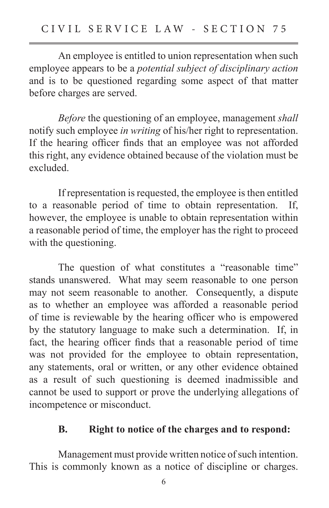An employee is entitled to union representation when such employee appears to be a *potential subject of disciplinary action* and is to be questioned regarding some aspect of that matter before charges are served.

*Before* the questioning of an employee, management *shall* notify such employee *in writing* of his/her right to representation. If the hearing officer finds that an employee was not afforded this right, any evidence obtained because of the violation must be excluded.

 If representation is requested, the employee is then entitled to a reasonable period of time to obtain representation. If, however, the employee is unable to obtain representation within a reasonable period of time, the employer has the right to proceed with the questioning.

The question of what constitutes a "reasonable time" stands unanswered. What may seem reasonable to one person may not seem reasonable to another. Consequently, a dispute as to whether an employee was afforded a reasonable period of time is reviewable by the hearing officer who is empowered by the statutory language to make such a determination. If, in fact, the hearing officer finds that a reasonable period of time was not provided for the employee to obtain representation, any statements, oral or written, or any other evidence obtained as a result of such questioning is deemed inadmissible and cannot be used to support or prove the underlying allegations of incompetence or misconduct.

#### **B. Right to notice of the charges and to respond:**

 Management must provide written notice of such intention. This is commonly known as a notice of discipline or charges.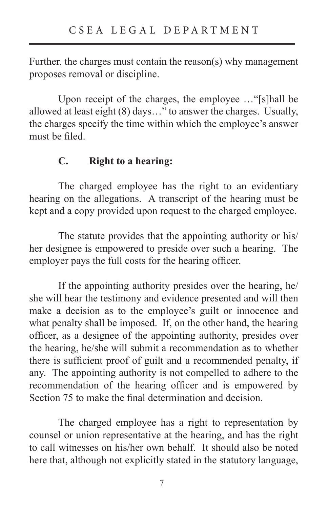Further, the charges must contain the reason(s) why management proposes removal or discipline.

 Upon receipt of the charges, the employee …"[s]hall be allowed at least eight (8) days…" to answer the charges. Usually, the charges specify the time within which the employee's answer must be filed.

#### **C. Right to a hearing:**

 The charged employee has the right to an evidentiary hearing on the allegations. A transcript of the hearing must be kept and a copy provided upon request to the charged employee.

 The statute provides that the appointing authority or his/ her designee is empowered to preside over such a hearing. The employer pays the full costs for the hearing officer.

 If the appointing authority presides over the hearing, he/ she will hear the testimony and evidence presented and will then make a decision as to the employee's guilt or innocence and what penalty shall be imposed. If, on the other hand, the hearing officer, as a designee of the appointing authority, presides over the hearing, he/she will submit a recommendation as to whether there is sufficient proof of guilt and a recommended penalty, if any. The appointing authority is not compelled to adhere to the recommendation of the hearing officer and is empowered by Section 75 to make the final determination and decision.

 The charged employee has a right to representation by counsel or union representative at the hearing, and has the right to call witnesses on his/her own behalf. It should also be noted here that, although not explicitly stated in the statutory language,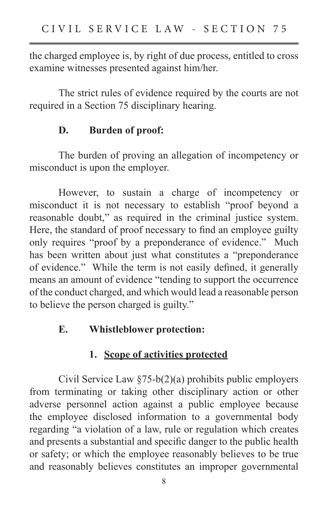the charged employee is, by right of due process, entitled to cross examine witnesses presented against him/her.

 The strict rules of evidence required by the courts are not required in a Section 75 disciplinary hearing.

#### **D. Burden of proof:**

 The burden of proving an allegation of incompetency or misconduct is upon the employer.

 However, to sustain a charge of incompetency or misconduct it is not necessary to establish "proof beyond a reasonable doubt," as required in the criminal justice system. Here, the standard of proof necessary to find an employee guilty only requires "proof by a preponderance of evidence." Much has been written about just what constitutes a "preponderance of evidence." While the term is not easily defined, it generally means an amount of evidence "tending to support the occurrence of the conduct charged, and which would lead a reasonable person to believe the person charged is guilty."

#### **E. Whistleblower protection:**

### **1. Scope of activities protected**

 Civil Service Law §75-b(2)(a) prohibits public employers from terminating or taking other disciplinary action or other adverse personnel action against a public employee because the employee disclosed information to a governmental body regarding "a violation of a law, rule or regulation which creates and presents a substantial and specific danger to the public health or safety; or which the employee reasonably believes to be true and reasonably believes constitutes an improper governmental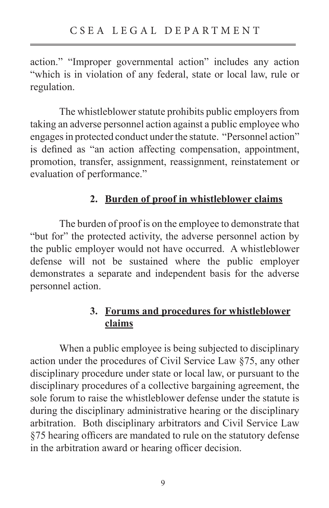action." "Improper governmental action" includes any action "which is in violation of any federal, state or local law, rule or regulation.

 The whistleblower statute prohibits public employers from taking an adverse personnel action against a public employee who engages in protected conduct under the statute. "Personnel action" is defined as "an action affecting compensation, appointment, promotion, transfer, assignment, reassignment, reinstatement or evaluation of performance."

#### **2. Burden of proof in whistleblower claims**

 The burden of proof is on the employee to demonstrate that "but for" the protected activity, the adverse personnel action by the public employer would not have occurred. A whistleblower defense will not be sustained where the public employer demonstrates a separate and independent basis for the adverse personnel action.

#### **3. Forums and procedures for whistleblower claims**

 When a public employee is being subjected to disciplinary action under the procedures of Civil Service Law §75, any other disciplinary procedure under state or local law, or pursuant to the disciplinary procedures of a collective bargaining agreement, the sole forum to raise the whistleblower defense under the statute is during the disciplinary administrative hearing or the disciplinary arbitration. Both disciplinary arbitrators and Civil Service Law §75 hearing officers are mandated to rule on the statutory defense in the arbitration award or hearing officer decision.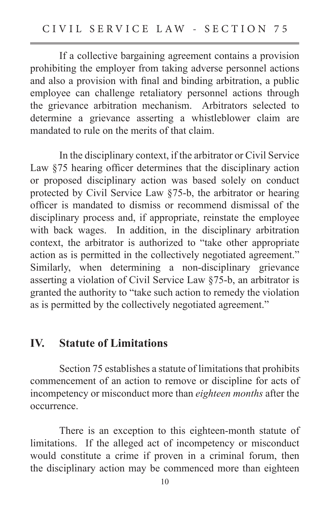If a collective bargaining agreement contains a provision prohibiting the employer from taking adverse personnel actions and also a provision with final and binding arbitration, a public employee can challenge retaliatory personnel actions through the grievance arbitration mechanism. Arbitrators selected to determine a grievance asserting a whistleblower claim are mandated to rule on the merits of that claim.

 In the disciplinary context, if the arbitrator or Civil Service Law  $§75$  hearing officer determines that the disciplinary action or proposed disciplinary action was based solely on conduct protected by Civil Service Law §75-b, the arbitrator or hearing officer is mandated to dismiss or recommend dismissal of the disciplinary process and, if appropriate, reinstate the employee with back wages. In addition, in the disciplinary arbitration context, the arbitrator is authorized to "take other appropriate action as is permitted in the collectively negotiated agreement." Similarly, when determining a non-disciplinary grievance asserting a violation of Civil Service Law §75-b, an arbitrator is granted the authority to "take such action to remedy the violation as is permitted by the collectively negotiated agreement."

#### **IV. Statute of Limitations**

 Section 75 establishes a statute of limitations that prohibits commencement of an action to remove or discipline for acts of incompetency or misconduct more than *eighteen months* after the occurrence.

 There is an exception to this eighteen-month statute of limitations. If the alleged act of incompetency or misconduct would constitute a crime if proven in a criminal forum, then the disciplinary action may be commenced more than eighteen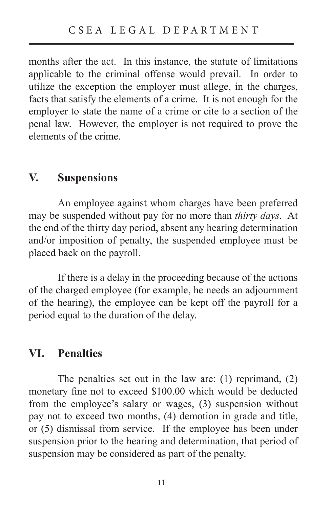months after the act. In this instance, the statute of limitations applicable to the criminal offense would prevail. In order to utilize the exception the employer must allege, in the charges, facts that satisfy the elements of a crime. It is not enough for the employer to state the name of a crime or cite to a section of the penal law. However, the employer is not required to prove the elements of the crime.

#### **V. Suspensions**

 An employee against whom charges have been preferred may be suspended without pay for no more than *thirty days*. At the end of the thirty day period, absent any hearing determination and/or imposition of penalty, the suspended employee must be placed back on the payroll.

 If there is a delay in the proceeding because of the actions of the charged employee (for example, he needs an adjournment of the hearing), the employee can be kept off the payroll for a period equal to the duration of the delay.

#### **VI. Penalties**

 The penalties set out in the law are: (1) reprimand, (2) monetary fine not to exceed \$100.00 which would be deducted from the employee's salary or wages, (3) suspension without pay not to exceed two months, (4) demotion in grade and title, or (5) dismissal from service. If the employee has been under suspension prior to the hearing and determination, that period of suspension may be considered as part of the penalty.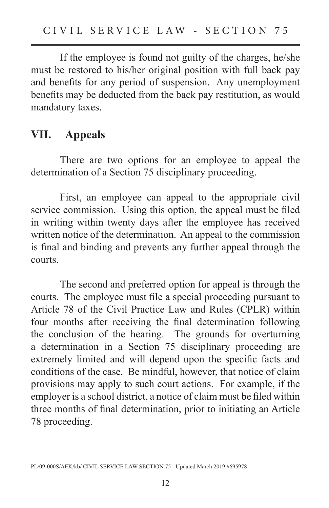If the employee is found not guilty of the charges, he/she must be restored to his/her original position with full back pay and benefits for any period of suspension. Any unemployment benefits may be deducted from the back pay restitution, as would mandatory taxes.

#### **VII. Appeals**

 There are two options for an employee to appeal the determination of a Section 75 disciplinary proceeding.

 First, an employee can appeal to the appropriate civil service commission. Using this option, the appeal must be filed in writing within twenty days after the employee has received written notice of the determination. An appeal to the commission is final and binding and prevents any further appeal through the courts.

 The second and preferred option for appeal is through the courts. The employee must file a special proceeding pursuant to Article 78 of the Civil Practice Law and Rules (CPLR) within four months after receiving the final determination following the conclusion of the hearing. The grounds for overturning a determination in a Section 75 disciplinary proceeding are extremely limited and will depend upon the specific facts and conditions of the case. Be mindful, however, that notice of claim provisions may apply to such court actions. For example, if the employer is a school district, a notice of claim must be filed within three months of final determination, prior to initiating an Article 78 proceeding.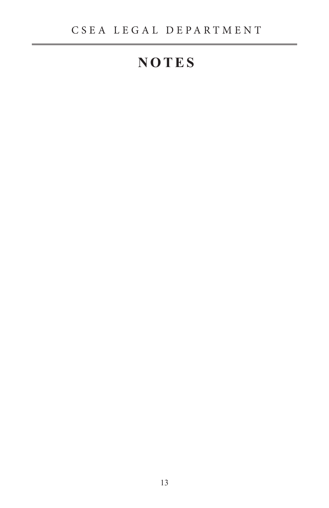# **NOTES**